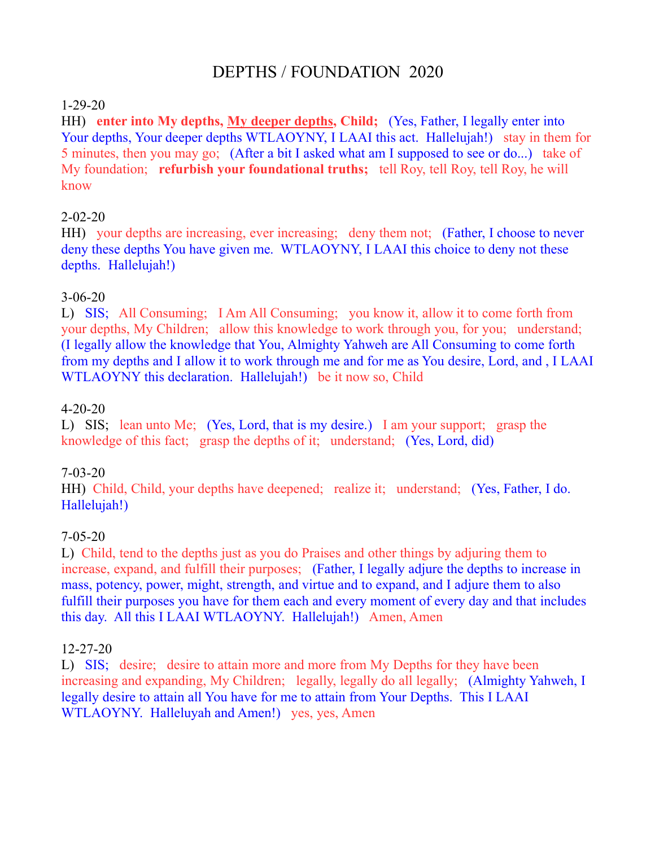# DEPTHS / FOUNDATION 2020

#### 1-29-20

HH) **enter into My depths, My deeper depths, Child;** (Yes, Father, I legally enter into Your depths, Your deeper depths WTLAOYNY, I LAAI this act. Hallelujah!) stay in them for 5 minutes, then you may go; (After a bit I asked what am I supposed to see or do...) take of My foundation; **refurbish your foundational truths;** tell Roy, tell Roy, tell Roy, he will know

## 2-02-20

HH) your depths are increasing, ever increasing; deny them not; (Father, I choose to never deny these depths You have given me. WTLAOYNY, I LAAI this choice to deny not these depths. Hallelujah!)

## 3-06-20

L) SIS; All Consuming; I Am All Consuming; you know it, allow it to come forth from your depths, My Children; allow this knowledge to work through you, for you; understand; (I legally allow the knowledge that You, Almighty Yahweh are All Consuming to come forth from my depths and I allow it to work through me and for me as You desire, Lord, and , I LAAI WTLAOYNY this declaration. Hallelujah!) be it now so, Child

## 4-20-20

L) SIS; lean unto Me; (Yes, Lord, that is my desire.) I am your support; grasp the knowledge of this fact; grasp the depths of it; understand; (Yes, Lord, did)

## 7-03-20

HH) Child, Child, your depths have deepened; realize it; understand; (Yes, Father, I do. Hallelujah!)

## 7-05-20

L) Child, tend to the depths just as you do Praises and other things by adjuring them to increase, expand, and fulfill their purposes; (Father, I legally adjure the depths to increase in mass, potency, power, might, strength, and virtue and to expand, and I adjure them to also fulfill their purposes you have for them each and every moment of every day and that includes this day. All this I LAAI WTLAOYNY. Hallelujah!) Amen, Amen

## 12-27-20

L) SIS; desire; desire to attain more and more from My Depths for they have been increasing and expanding, My Children; legally, legally do all legally; (Almighty Yahweh, I legally desire to attain all You have for me to attain from Your Depths. This I LAAI WTLAOYNY. Halleluyah and Amen!) yes, yes, Amen